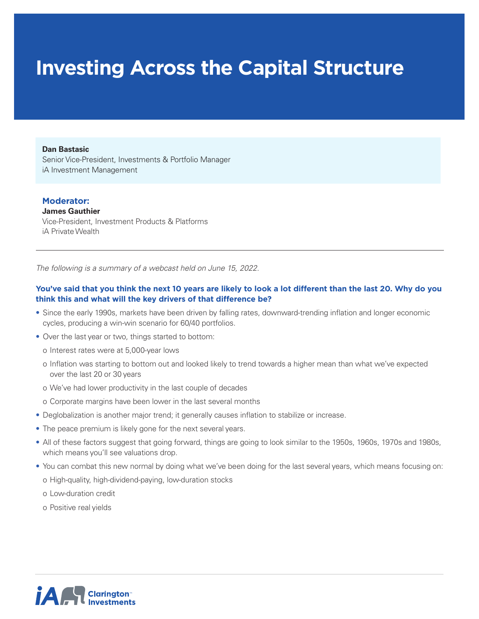# **Investing Across the Capital Structure**

#### **Dan Bastasic**

Senior Vice-President, Investments & Portfolio Manager iA Investment Management

### **Moderator:**

**James Gauthier** Vice-President, Investment Products & Platforms iA Private Wealth

*The following is a summary of a webcast held on June 15, 2022.* 

# **You've said that you think the next 10 years are likely to look a lot different than the last 20. Why do you think this and what will the key drivers of that difference be?**

- Since the early 1990s, markets have been driven by falling rates, downward-trending inflation and longer economic cycles, producing a win-win scenario for 60/40 portfolios.
- Over the last year or two, things started to bottom:
	- o Interest rates were at 5,000-year lows
	- o Inflation was starting to bottom out and looked likely to trend towards a higher mean than what we've expected over the last 20 or 30 years
	- o We've had lower productivity in the last couple of decades
	- o Corporate margins have been lower in the last several months
- Deglobalization is another major trend; it generally causes inflation to stabilize or increase.
- The peace premium is likely gone for the next several years.
- All of these factors suggest that going forward, things are going to look similar to the 1950s, 1960s, 1970s and 1980s, which means you'll see valuations drop.
- You can combat this new normal by doing what we've been doing for the last several years, which means focusing on: o High-quality, high-dividend-paying, low-duration stocks
	- o Low-duration credit
	- o Positive real yields

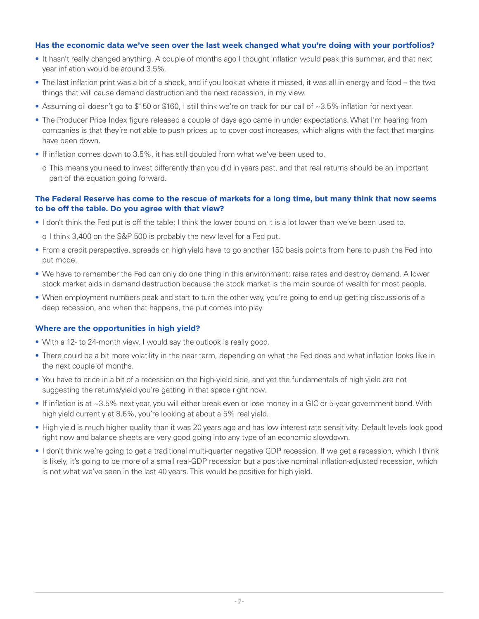## **Has the economic data we've seen over the last week changed what you're doing with your portfolios?**

- It hasn't really changed anything. A couple of months ago I thought inflation would peak this summer, and that next year inflation would be around 3.5%.
- The last inflation print was a bit of a shock, and if you look at where it missed, it was all in energy and food the two things that will cause demand destruction and the next recession, in my view.
- Assuming oil doesn't go to \$150 or \$160, I still think we're on track for our call of ~3.5% inflation for next year.
- The Producer Price Index figure released a couple of days ago came in under expectations. What I'm hearing from companies is that they're not able to push prices up to cover cost increases, which aligns with the fact that margins have been down.
- If inflation comes down to 3.5%, it has still doubled from what we've been used to.
	- o This means you need to invest differently than you did in years past, and that real returns should be an important part of the equation going forward.

# **The Federal Reserve has come to the rescue of markets for a long time, but many think that now seems to be off the table. Do you agree with that view?**

- I don't think the Fed put is off the table; I think the lower bound on it is a lot lower than we've been used to.
	- o I think 3,400 on the S&P 500 is probably the new level for a Fed put.
- From a credit perspective, spreads on high yield have to go another 150 basis points from here to push the Fed into put mode.
- We have to remember the Fed can only do one thing in this environment: raise rates and destroy demand. A lower stock market aids in demand destruction because the stock market is the main source of wealth for most people.
- When employment numbers peak and start to turn the other way, you're going to end up getting discussions of a deep recession, and when that happens, the put comes into play.

### **Where are the opportunities in high yield?**

- With a 12- to 24-month view, I would say the outlook is really good.
- There could be a bit more volatility in the near term, depending on what the Fed does and what inflation looks like in the next couple of months.
- You have to price in a bit of a recession on the high-yield side, and yet the fundamentals of high yield are not suggesting the returns/yield you're getting in that space right now.
- If inflation is at ~3.5% next year, you will either break even or lose money in a GIC or 5-year government bond. With high yield currently at 8.6%, you're looking at about a 5% real yield.
- High yield is much higher quality than it was 20 years ago and has low interest rate sensitivity. Default levels look good right now and balance sheets are very good going into any type of an economic slowdown.
- I don't think we're going to get a traditional multi-quarter negative GDP recession. If we get a recession, which I think is likely, it's going to be more of a small real-GDP recession but a positive nominal inflation-adjusted recession, which is not what we've seen in the last 40 years. This would be positive for high yield.